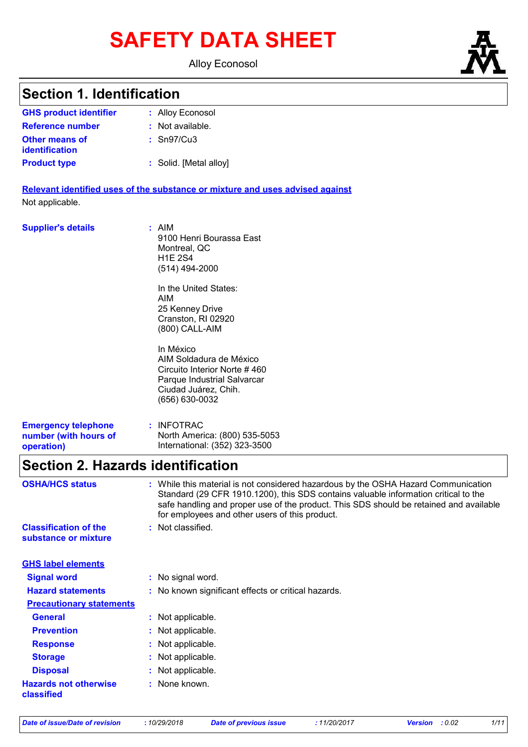# **SAFETY DATA SHEET**

Alloy Econosol

### **Section 1. Identification**

| <b>GHS product identifier</b>                  | : Alloy Econosol       |
|------------------------------------------------|------------------------|
| Reference number                               | $:$ Not available.     |
| <b>Other means of</b><br><b>identification</b> | $:$ Sn97/Cu3           |
| <b>Product type</b>                            | : Solid. [Metal alloy] |

**Relevant identified uses of the substance or mixture and uses advised against** Not applicable.

| <b>Supplier's details</b>                                         | : AIM<br>9100 Henri Bourassa East<br>Montreal, QC<br><b>H1E 2S4</b><br>(514) 494-2000<br>In the United States:<br>AIM<br>25 Kenney Drive<br>Cranston, RI 02920<br>(800) CALL-AIM |
|-------------------------------------------------------------------|----------------------------------------------------------------------------------------------------------------------------------------------------------------------------------|
|                                                                   | In México<br>AIM Soldadura de México<br>Circuito Interior Norte #460<br>Parque Industrial Salvarcar<br>Ciudad Juárez, Chih.<br>(656) 630-0032                                    |
| <b>Emergency telephone</b><br>number (with hours of<br>operation) | : INFOTRAC<br>North America: (800) 535-5053<br>International: (352) 323-3500                                                                                                     |

### **Section 2. Hazards identification**

| <b>OSHA/HCS status</b>                               | While this material is not considered hazardous by the OSHA Hazard Communication<br>Standard (29 CFR 1910.1200), this SDS contains valuable information critical to the<br>safe handling and proper use of the product. This SDS should be retained and available<br>for employees and other users of this product. |
|------------------------------------------------------|---------------------------------------------------------------------------------------------------------------------------------------------------------------------------------------------------------------------------------------------------------------------------------------------------------------------|
| <b>Classification of the</b><br>substance or mixture | : Not classified.                                                                                                                                                                                                                                                                                                   |
| <b>GHS label elements</b>                            |                                                                                                                                                                                                                                                                                                                     |
| <b>Signal word</b>                                   | : No signal word.                                                                                                                                                                                                                                                                                                   |
| <b>Hazard statements</b>                             | : No known significant effects or critical hazards.                                                                                                                                                                                                                                                                 |
| <b>Precautionary statements</b>                      |                                                                                                                                                                                                                                                                                                                     |
| <b>General</b>                                       | : Not applicable.                                                                                                                                                                                                                                                                                                   |
| <b>Prevention</b>                                    | : Not applicable.                                                                                                                                                                                                                                                                                                   |
| <b>Response</b>                                      | : Not applicable.                                                                                                                                                                                                                                                                                                   |
| <b>Storage</b>                                       | : Not applicable.                                                                                                                                                                                                                                                                                                   |
| <b>Disposal</b>                                      | : Not applicable.                                                                                                                                                                                                                                                                                                   |
| <b>Hazards not otherwise</b><br>classified           | : None known.                                                                                                                                                                                                                                                                                                       |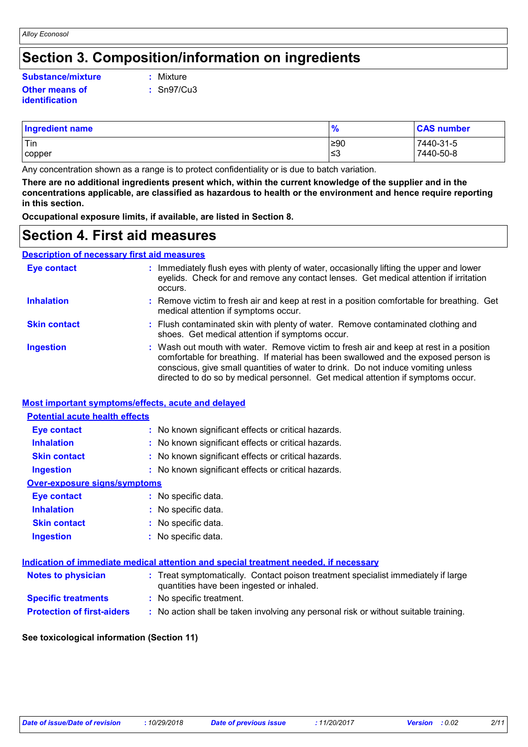### **Section 3. Composition/information on ingredients**

#### **Other means of Substance/mixture :**

**identification**

Mixture

**:** Sn97/Cu3

| <b>Ingredient name</b> | $\mathbf{0}$<br>$\overline{I}$ | <b>CAS number</b> |
|------------------------|--------------------------------|-------------------|
| ' Tin                  | $\geq 90$                      | 7440-31-5         |
| copper                 | צ≥                             | 7440-50-8         |

Any concentration shown as a range is to protect confidentiality or is due to batch variation.

**There are no additional ingredients present which, within the current knowledge of the supplier and in the concentrations applicable, are classified as hazardous to health or the environment and hence require reporting in this section.**

**Occupational exposure limits, if available, are listed in Section 8.**

### **Section 4. First aid measures**

**Description of necessary first aid measures**

| <b>Eye contact</b>  | : Immediately flush eyes with plenty of water, occasionally lifting the upper and lower<br>eyelids. Check for and remove any contact lenses. Get medical attention if irritation<br>occurs.                                                                                                                                                            |
|---------------------|--------------------------------------------------------------------------------------------------------------------------------------------------------------------------------------------------------------------------------------------------------------------------------------------------------------------------------------------------------|
| <b>Inhalation</b>   | : Remove victim to fresh air and keep at rest in a position comfortable for breathing. Get<br>medical attention if symptoms occur.                                                                                                                                                                                                                     |
| <b>Skin contact</b> | : Flush contaminated skin with plenty of water. Remove contaminated clothing and<br>shoes. Get medical attention if symptoms occur.                                                                                                                                                                                                                    |
| <b>Ingestion</b>    | : Wash out mouth with water. Remove victim to fresh air and keep at rest in a position<br>comfortable for breathing. If material has been swallowed and the exposed person is<br>conscious, give small quantities of water to drink. Do not induce vomiting unless<br>directed to do so by medical personnel. Get medical attention if symptoms occur. |

#### **Most important symptoms/effects, acute and delayed**

| <b>Potential acute health effects</b> |                                                     |
|---------------------------------------|-----------------------------------------------------|
| Eye contact                           | : No known significant effects or critical hazards. |
| <b>Inhalation</b>                     | : No known significant effects or critical hazards. |
| <b>Skin contact</b>                   | : No known significant effects or critical hazards. |
| <b>Ingestion</b>                      | : No known significant effects or critical hazards. |
| <b>Over-exposure signs/symptoms</b>   |                                                     |
| Eye contact                           | : No specific data.                                 |
| <b>Inhalation</b>                     | : No specific data.                                 |
| <b>Skin contact</b>                   | : No specific data.                                 |
| <b>Ingestion</b>                      | : No specific data.                                 |
|                                       |                                                     |

|                                   | Indication of immediate medical attention and special treatment needed, if necessary                                           |  |
|-----------------------------------|--------------------------------------------------------------------------------------------------------------------------------|--|
| <b>Notes to physician</b>         | : Treat symptomatically. Contact poison treatment specialist immediately if large<br>quantities have been ingested or inhaled. |  |
| <b>Specific treatments</b>        | : No specific treatment.                                                                                                       |  |
| <b>Protection of first-aiders</b> | : No action shall be taken involving any personal risk or without suitable training.                                           |  |

#### **See toxicological information (Section 11)**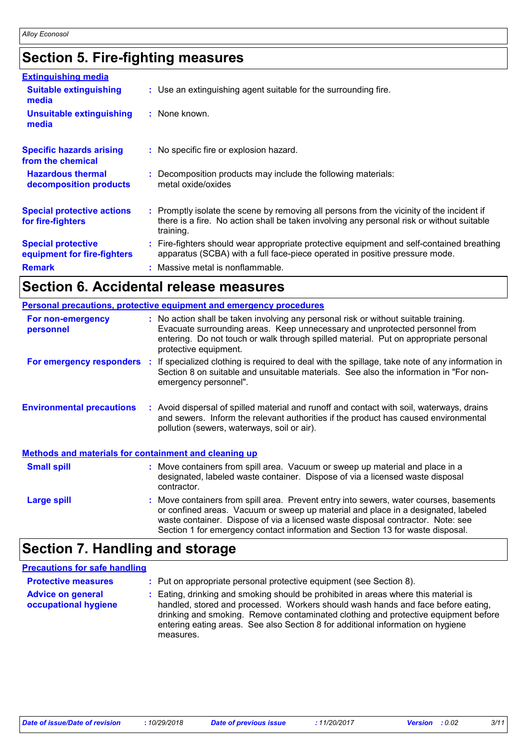### **Section 5. Fire-fighting measures**

| <b>Extinguishing media</b>                               |                                                                                                                                                                                                     |
|----------------------------------------------------------|-----------------------------------------------------------------------------------------------------------------------------------------------------------------------------------------------------|
| <b>Suitable extinguishing</b><br>media                   | : Use an extinguishing agent suitable for the surrounding fire.                                                                                                                                     |
| <b>Unsuitable extinguishing</b><br>media                 | : None known.                                                                                                                                                                                       |
| <b>Specific hazards arising</b><br>from the chemical     | : No specific fire or explosion hazard.                                                                                                                                                             |
| <b>Hazardous thermal</b><br>decomposition products       | : Decomposition products may include the following materials:<br>metal oxide/oxides                                                                                                                 |
| <b>Special protective actions</b><br>for fire-fighters   | : Promptly isolate the scene by removing all persons from the vicinity of the incident if<br>there is a fire. No action shall be taken involving any personal risk or without suitable<br>training. |
| <b>Special protective</b><br>equipment for fire-fighters | : Fire-fighters should wear appropriate protective equipment and self-contained breathing<br>apparatus (SCBA) with a full face-piece operated in positive pressure mode.                            |
| <b>Remark</b>                                            | : Massive metal is nonflammable.                                                                                                                                                                    |

### **Section 6. Accidental release measures**

|                                                              | Personal precautions, protective equipment and emergency procedures                                                                                                                                                                                                                                                                              |
|--------------------------------------------------------------|--------------------------------------------------------------------------------------------------------------------------------------------------------------------------------------------------------------------------------------------------------------------------------------------------------------------------------------------------|
| For non-emergency<br>personnel                               | : No action shall be taken involving any personal risk or without suitable training.<br>Evacuate surrounding areas. Keep unnecessary and unprotected personnel from<br>entering. Do not touch or walk through spilled material. Put on appropriate personal<br>protective equipment.                                                             |
| For emergency responders                                     | : If specialized clothing is required to deal with the spillage, take note of any information in<br>Section 8 on suitable and unsuitable materials. See also the information in "For non-<br>emergency personnel".                                                                                                                               |
| <b>Environmental precautions</b>                             | : Avoid dispersal of spilled material and runoff and contact with soil, waterways, drains<br>and sewers. Inform the relevant authorities if the product has caused environmental<br>pollution (sewers, waterways, soil or air).                                                                                                                  |
| <b>Methods and materials for containment and cleaning up</b> |                                                                                                                                                                                                                                                                                                                                                  |
| <b>Small spill</b>                                           | : Move containers from spill area. Vacuum or sweep up material and place in a<br>designated, labeled waste container. Dispose of via a licensed waste disposal<br>contractor.                                                                                                                                                                    |
| <b>Large spill</b>                                           | : Move containers from spill area. Prevent entry into sewers, water courses, basements<br>or confined areas. Vacuum or sweep up material and place in a designated, labeled<br>waste container. Dispose of via a licensed waste disposal contractor. Note: see<br>Section 1 for emergency contact information and Section 13 for waste disposal. |

### **Section 7. Handling and storage**

#### **Precautions for safe handling**

| <b>Protective measures</b>                       | : Put on appropriate personal protective equipment (see Section 8).                                                                                                                                                                                                                                                                                           |
|--------------------------------------------------|---------------------------------------------------------------------------------------------------------------------------------------------------------------------------------------------------------------------------------------------------------------------------------------------------------------------------------------------------------------|
| <b>Advice on general</b><br>occupational hygiene | : Eating, drinking and smoking should be prohibited in areas where this material is<br>handled, stored and processed. Workers should wash hands and face before eating,<br>drinking and smoking. Remove contaminated clothing and protective equipment before<br>entering eating areas. See also Section 8 for additional information on hygiene<br>measures. |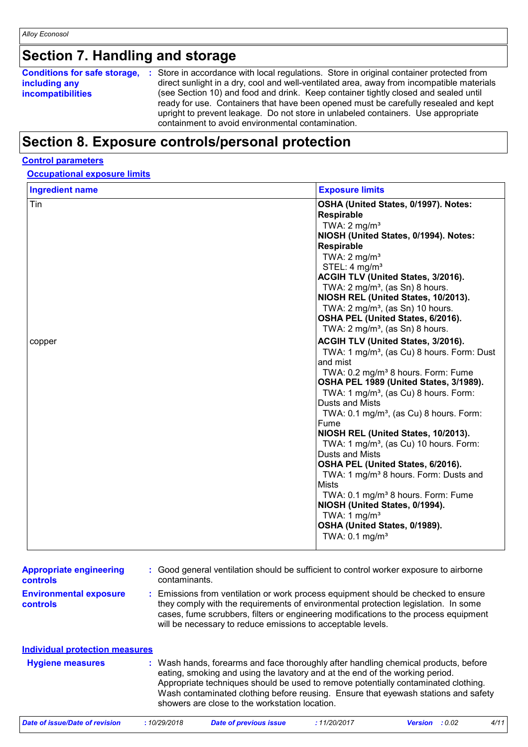## **Section 7. Handling and storage**

| Conditions for safe storage, : | Store in accordance with local regulations. Store in original container protected from                                                                                                                                                                                                                               |
|--------------------------------|----------------------------------------------------------------------------------------------------------------------------------------------------------------------------------------------------------------------------------------------------------------------------------------------------------------------|
| including any                  | direct sunlight in a dry, cool and well-ventilated area, away from incompatible materials                                                                                                                                                                                                                            |
| <b>incompatibilities</b>       | (see Section 10) and food and drink. Keep container tightly closed and sealed until<br>ready for use. Containers that have been opened must be carefully resealed and kept<br>upright to prevent leakage. Do not store in unlabeled containers. Use appropriate<br>containment to avoid environmental contamination. |

### **Section 8. Exposure controls/personal protection**

#### **Control parameters**

### **Occupational exposure limits**

| <b>Ingredient name</b> | <b>Exposure limits</b>                                                                                                                                                                                                                                                                                                        |
|------------------------|-------------------------------------------------------------------------------------------------------------------------------------------------------------------------------------------------------------------------------------------------------------------------------------------------------------------------------|
| Tin                    | OSHA (United States, 0/1997). Notes:<br>Respirable<br>TWA: $2 \text{ mg/m}^3$<br>NIOSH (United States, 0/1994). Notes:<br><b>Respirable</b><br>TWA: $2 \text{ mg/m}^3$<br>STEL: $4 \text{ mg/m}^3$<br>ACGIH TLV (United States, 3/2016).<br>TWA: $2 \text{ mg/m}^3$ , (as Sn) 8 hours.<br>NIOSH REL (United States, 10/2013). |
|                        | TWA: $2 \text{ mg/m}^3$ , (as Sn) 10 hours.<br>OSHA PEL (United States, 6/2016).<br>TWA: $2 \text{ mg/m}^3$ , (as Sn) 8 hours.                                                                                                                                                                                                |
| copper                 | ACGIH TLV (United States, 3/2016).<br>TWA: 1 mg/m <sup>3</sup> , (as Cu) 8 hours. Form: Dust<br>and mist<br>TWA: 0.2 mg/m <sup>3</sup> 8 hours. Form: Fume<br>OSHA PEL 1989 (United States, 3/1989).                                                                                                                          |
|                        | TWA: $1 \text{ mg/m}^3$ , (as Cu) 8 hours. Form:<br><b>Dusts and Mists</b><br>TWA: 0.1 mg/m <sup>3</sup> , (as Cu) 8 hours. Form:<br>Fume                                                                                                                                                                                     |
|                        | NIOSH REL (United States, 10/2013).<br>TWA: 1 mg/m <sup>3</sup> , (as Cu) 10 hours. Form:<br>Dusts and Mists<br>OSHA PEL (United States, 6/2016).                                                                                                                                                                             |
|                        | TWA: 1 mg/m <sup>3</sup> 8 hours. Form: Dusts and<br><b>Mists</b><br>TWA: 0.1 mg/m <sup>3</sup> 8 hours. Form: Fume<br>NIOSH (United States, 0/1994).                                                                                                                                                                         |
|                        | TWA: $1 \text{ mg/m}^3$<br>OSHA (United States, 0/1989).<br>TWA: $0.1 \text{ mg/m}^3$                                                                                                                                                                                                                                         |

| <b>Appropriate engineering</b><br>controls | : Good general ventilation should be sufficient to control worker exposure to airborne<br>contaminants.                                                                                                                                                                                                                                                                                           |
|--------------------------------------------|---------------------------------------------------------------------------------------------------------------------------------------------------------------------------------------------------------------------------------------------------------------------------------------------------------------------------------------------------------------------------------------------------|
| <b>Environmental exposure</b><br>controls  | : Emissions from ventilation or work process equipment should be checked to ensure<br>they comply with the requirements of environmental protection legislation. In some<br>cases, fume scrubbers, filters or engineering modifications to the process equipment<br>will be necessary to reduce emissions to acceptable levels.                                                                   |
| <b>Individual protection measures</b>      |                                                                                                                                                                                                                                                                                                                                                                                                   |
| <b>Hygiene measures</b>                    | : Wash hands, forearms and face thoroughly after handling chemical products, before<br>eating, smoking and using the lavatory and at the end of the working period.<br>Appropriate techniques should be used to remove potentially contaminated clothing.<br>Wash contaminated clothing before reusing. Ensure that eyewash stations and safety<br>showers are close to the workstation location. |

| Date of issue/Date of revision | 10/29/2018 | <b>Date of previous issue</b> | : 11/20/2017 | <b>Version</b> : 0.02 | 4/11 |
|--------------------------------|------------|-------------------------------|--------------|-----------------------|------|
|--------------------------------|------------|-------------------------------|--------------|-----------------------|------|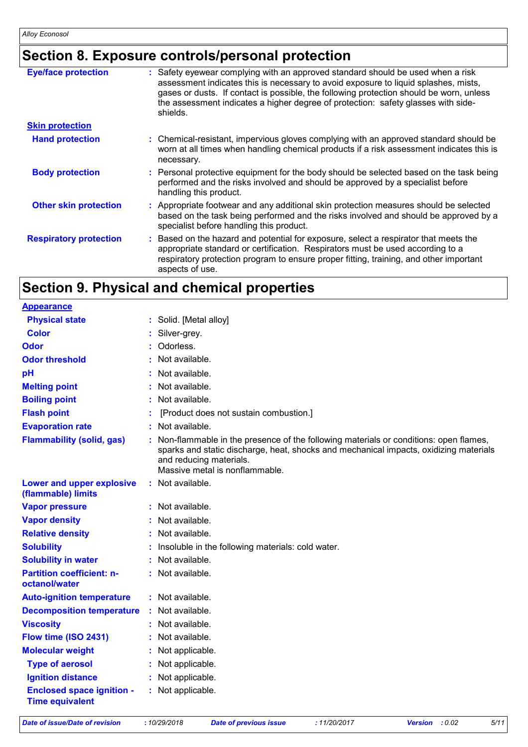### **Section 8. Exposure controls/personal protection**

| <b>Eye/face protection</b>    | : Safety eyewear complying with an approved standard should be used when a risk<br>assessment indicates this is necessary to avoid exposure to liquid splashes, mists,<br>gases or dusts. If contact is possible, the following protection should be worn, unless<br>the assessment indicates a higher degree of protection: safety glasses with side-<br>shields. |
|-------------------------------|--------------------------------------------------------------------------------------------------------------------------------------------------------------------------------------------------------------------------------------------------------------------------------------------------------------------------------------------------------------------|
| <b>Skin protection</b>        |                                                                                                                                                                                                                                                                                                                                                                    |
| <b>Hand protection</b>        | : Chemical-resistant, impervious gloves complying with an approved standard should be<br>worn at all times when handling chemical products if a risk assessment indicates this is<br>necessary.                                                                                                                                                                    |
| <b>Body protection</b>        | : Personal protective equipment for the body should be selected based on the task being<br>performed and the risks involved and should be approved by a specialist before<br>handling this product.                                                                                                                                                                |
| <b>Other skin protection</b>  | : Appropriate footwear and any additional skin protection measures should be selected<br>based on the task being performed and the risks involved and should be approved by a<br>specialist before handling this product.                                                                                                                                          |
| <b>Respiratory protection</b> | : Based on the hazard and potential for exposure, select a respirator that meets the<br>appropriate standard or certification. Respirators must be used according to a<br>respiratory protection program to ensure proper fitting, training, and other important<br>aspects of use.                                                                                |

### **Section 9. Physical and chemical properties**

| <b>Appearance</b>                                          |                                                                                                                                                                                                                                            |
|------------------------------------------------------------|--------------------------------------------------------------------------------------------------------------------------------------------------------------------------------------------------------------------------------------------|
| <b>Physical state</b>                                      | : Solid. [Metal alloy]                                                                                                                                                                                                                     |
| <b>Color</b>                                               | Silver-grey.                                                                                                                                                                                                                               |
| <b>Odor</b>                                                | Odorless.                                                                                                                                                                                                                                  |
| <b>Odor threshold</b>                                      | Not available.                                                                                                                                                                                                                             |
| pH                                                         | Not available.                                                                                                                                                                                                                             |
| <b>Melting point</b>                                       | Not available.                                                                                                                                                                                                                             |
| <b>Boiling point</b>                                       | Not available.                                                                                                                                                                                                                             |
| <b>Flash point</b>                                         | [Product does not sustain combustion.]                                                                                                                                                                                                     |
| <b>Evaporation rate</b>                                    | Not available.                                                                                                                                                                                                                             |
| <b>Flammability (solid, gas)</b>                           | Non-flammable in the presence of the following materials or conditions: open flames,<br>sparks and static discharge, heat, shocks and mechanical impacts, oxidizing materials<br>and reducing materials.<br>Massive metal is nonflammable. |
| Lower and upper explosive<br>(flammable) limits            | : Not available.                                                                                                                                                                                                                           |
| <b>Vapor pressure</b>                                      | Not available.                                                                                                                                                                                                                             |
| <b>Vapor density</b>                                       | Not available.                                                                                                                                                                                                                             |
| <b>Relative density</b>                                    | Not available.                                                                                                                                                                                                                             |
| <b>Solubility</b>                                          | Insoluble in the following materials: cold water.                                                                                                                                                                                          |
| <b>Solubility in water</b>                                 | Not available.                                                                                                                                                                                                                             |
| <b>Partition coefficient: n-</b><br>octanol/water          | : Not available.                                                                                                                                                                                                                           |
| <b>Auto-ignition temperature</b>                           | : Not available.                                                                                                                                                                                                                           |
| <b>Decomposition temperature</b>                           | : Not available.                                                                                                                                                                                                                           |
| <b>Viscosity</b>                                           | : Not available.                                                                                                                                                                                                                           |
| Flow time (ISO 2431)                                       | Not available.                                                                                                                                                                                                                             |
| <b>Molecular weight</b>                                    | Not applicable.                                                                                                                                                                                                                            |
| <b>Type of aerosol</b>                                     | Not applicable.                                                                                                                                                                                                                            |
| <b>Ignition distance</b>                                   | Not applicable.                                                                                                                                                                                                                            |
| <b>Enclosed space ignition -</b><br><b>Time equivalent</b> | : Not applicable.                                                                                                                                                                                                                          |

*Date of issue/Date of revision* **:** *10/29/2018 Date of previous issue : 11/20/2017 Version : 0.02 5/11*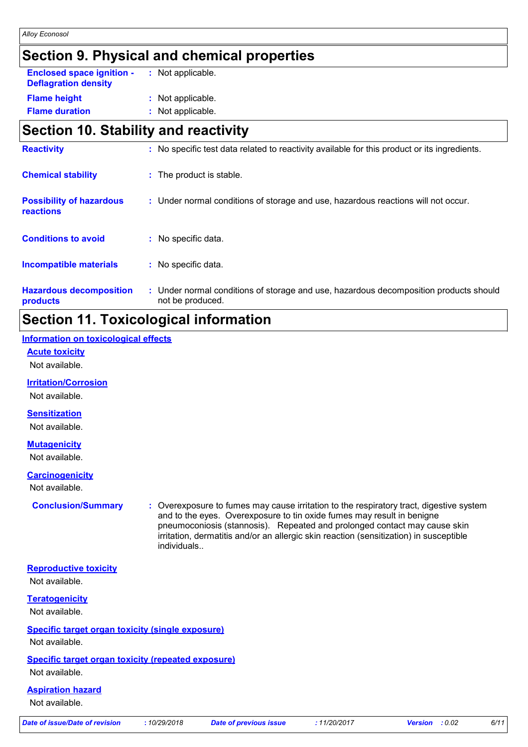### **Section 9. Physical and chemical properties**

| <b>Enclosed space ignition -</b><br><b>Deflagration density</b> | : Not applicable. |
|-----------------------------------------------------------------|-------------------|
| <b>Flame height</b>                                             | : Not applicable. |
| <b>Flame duration</b>                                           | : Not applicable. |

### **Section 10. Stability and reactivity**

| <b>Conditions to avoid</b><br>No specific data.<br><b>Incompatible materials</b><br>: No specific data.<br>: Under normal conditions of storage and use, hazardous decomposition products should<br><b>Hazardous decomposition</b><br>not be produced.<br>products | <b>reactions</b> |  |
|--------------------------------------------------------------------------------------------------------------------------------------------------------------------------------------------------------------------------------------------------------------------|------------------|--|
|                                                                                                                                                                                                                                                                    |                  |  |
|                                                                                                                                                                                                                                                                    |                  |  |
|                                                                                                                                                                                                                                                                    |                  |  |

### **Section 11. Toxicological information**

### **Information on toxicological effects**

**Acute toxicity**

Not available.

#### **Irritation/Corrosion**

Not available.

#### **Sensitization**

Not available.

#### **Mutagenicity**

Not available.

#### **Carcinogenicity**

Not available.

**Conclusion/Summary :** Overexposure to fumes may cause irritation to the respiratory tract, digestive system and to the eyes. Overexposure to tin oxide fumes may result in benigne pneumoconiosis (stannosis). Repeated and prolonged contact may cause skin irritation, dermatitis and/or an allergic skin reaction (sensitization) in susceptible individuals..

| <b>Date of issue/Date of revision</b>                              | :10/29/2018 | <b>Date of previous issue</b> | :11/20/2017 | : 0.02<br><b>Version</b> | 6/11 |
|--------------------------------------------------------------------|-------------|-------------------------------|-------------|--------------------------|------|
| Not available.                                                     |             |                               |             |                          |      |
| <b>Aspiration hazard</b>                                           |             |                               |             |                          |      |
| Not available.                                                     |             |                               |             |                          |      |
| Specific target organ toxicity (repeated exposure)                 |             |                               |             |                          |      |
| Specific target organ toxicity (single exposure)<br>Not available. |             |                               |             |                          |      |
| <b>Teratogenicity</b><br>Not available.                            |             |                               |             |                          |      |
|                                                                    |             |                               |             |                          |      |
| <b>Reproductive toxicity</b><br>Not available.                     |             |                               |             |                          |      |
|                                                                    |             |                               |             |                          |      |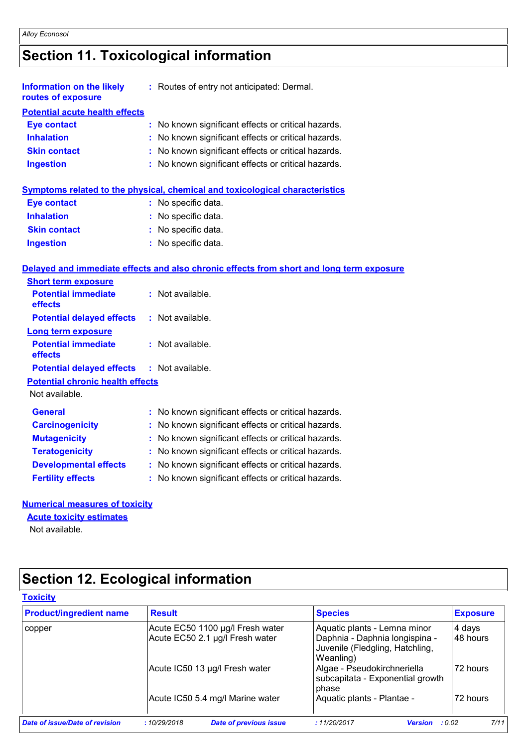### **Section 11. Toxicological information**

| <b>Information on the likely</b><br>routes of exposure | : Routes of entry not anticipated: Dermal.          |
|--------------------------------------------------------|-----------------------------------------------------|
| <b>Potential acute health effects</b>                  |                                                     |
| <b>Eye contact</b>                                     | : No known significant effects or critical hazards. |
| <b>Inhalation</b>                                      | : No known significant effects or critical hazards. |
| <b>Skin contact</b>                                    | : No known significant effects or critical hazards. |
| <b>Ingestion</b>                                       | : No known significant effects or critical hazards. |
|                                                        |                                                     |

|  |  |  |  | Symptoms related to the physical, chemical and toxicological characteristics |  |
|--|--|--|--|------------------------------------------------------------------------------|--|
|  |  |  |  |                                                                              |  |

| <b>Eye contact</b>  | : No specific data. |
|---------------------|---------------------|
| <b>Inhalation</b>   | : No specific data. |
| <b>Skin contact</b> | : No specific data. |
| <b>Ingestion</b>    | : No specific data. |

#### **Delayed and immediate effects and also chronic effects from short and long term exposure**

| <b>Short term exposure</b>              |                                                     |
|-----------------------------------------|-----------------------------------------------------|
| <b>Potential immediate</b><br>effects   | : Not available.                                    |
| <b>Potential delayed effects</b>        | $:$ Not available.                                  |
| <b>Long term exposure</b>               |                                                     |
| <b>Potential immediate</b><br>effects   | : Not available.                                    |
| <b>Potential delayed effects</b>        | : Not available.                                    |
| <b>Potential chronic health effects</b> |                                                     |
| Not available.                          |                                                     |
| General                                 | : No known significant effects or critical hazards. |
| <b>Carcinogenicity</b>                  | : No known significant effects or critical hazards. |
| <b>Mutagenicity</b>                     | : No known significant effects or critical hazards. |
| <b>Teratogenicity</b>                   | : No known significant effects or critical hazards. |
| <b>Developmental effects</b>            | : No known significant effects or critical hazards. |
| <b>Fertility effects</b>                | : No known significant effects or critical hazards. |

#### **Numerical measures of toxicity**

#### **Acute toxicity estimates**

Not available.

### **Section 12. Ecological information**

| Acute EC50 1100 µg/l Fresh water<br>Aquatic plants - Lemna minor<br>copper<br>Acute EC50 2.1 µg/l Fresh water<br>Daphnia - Daphnia longispina -<br>Juvenile (Fledgling, Hatchling,<br>Weanling)<br>Acute IC50 13 µg/l Fresh water<br>Algae - Pseudokirchneriella<br>subcapitata - Exponential growth<br>phase | <b>Exposure</b>    |
|---------------------------------------------------------------------------------------------------------------------------------------------------------------------------------------------------------------------------------------------------------------------------------------------------------------|--------------------|
|                                                                                                                                                                                                                                                                                                               | 4 days<br>48 hours |
|                                                                                                                                                                                                                                                                                                               | 72 hours           |
| Acute IC50 5.4 mg/l Marine water<br>Aquatic plants - Plantae -                                                                                                                                                                                                                                                | 72 hours           |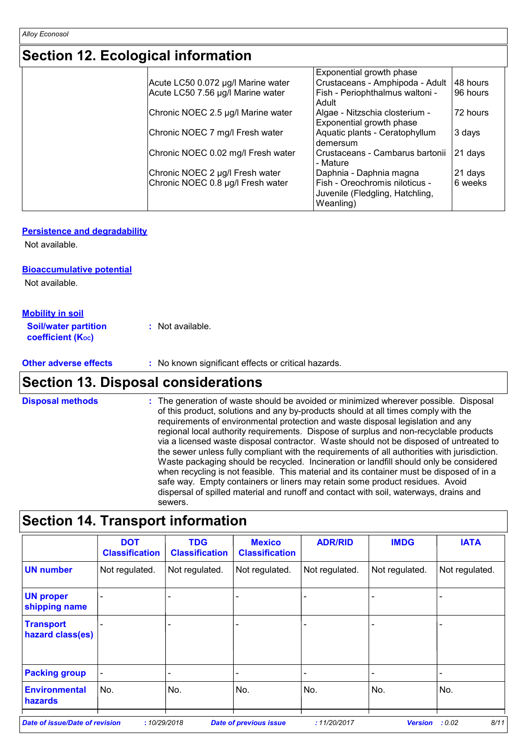### **Section 12. Ecological information**

| Exponential growth phase                                                                                                                                                                                                                                       |                          |
|----------------------------------------------------------------------------------------------------------------------------------------------------------------------------------------------------------------------------------------------------------------|--------------------------|
| Crustaceans - Amphipoda - Adult                                                                                                                                                                                                                                | 48 hours                 |
| Fish - Periophthalmus waltoni -<br>Adult                                                                                                                                                                                                                       | 96 hours                 |
| Algae - Nitzschia closterium -                                                                                                                                                                                                                                 | 72 hours                 |
| Aquatic plants - Ceratophyllum<br>demersum                                                                                                                                                                                                                     | 3 days                   |
| Crustaceans - Cambarus bartonii<br>- Mature                                                                                                                                                                                                                    | 21 days                  |
| Daphnia - Daphnia magna                                                                                                                                                                                                                                        | 21 days                  |
| Fish - Oreochromis niloticus -<br>Juvenile (Fledgling, Hatchling,<br>Weanling)                                                                                                                                                                                 | 6 weeks                  |
| Acute LC50 0.072 µg/l Marine water<br>Acute LC50 7.56 µg/l Marine water<br>Chronic NOEC 2.5 µg/l Marine water<br>Chronic NOEC 7 mg/l Fresh water<br>Chronic NOEC 0.02 mg/l Fresh water<br>Chronic NOEC 2 µg/l Fresh water<br>Chronic NOEC 0.8 µg/l Fresh water | Exponential growth phase |

#### **Persistence and degradability**

Not available.

#### **Bioaccumulative potential**

Not available.

#### **Mobility in soil**

| <b>Soil/water partition</b> | : Not available. |
|-----------------------------|------------------|
| <b>coefficient (Koc)</b>    |                  |

**Other adverse effects** : No known significant effects or critical hazards.

### **Section 13. Disposal considerations**

The generation of waste should be avoided or minimized wherever possible. Disposal of this product, solutions and any by-products should at all times comply with the requirements of environmental protection and waste disposal legislation and any regional local authority requirements. Dispose of surplus and non-recyclable products via a licensed waste disposal contractor. Waste should not be disposed of untreated to the sewer unless fully compliant with the requirements of all authorities with jurisdiction. Waste packaging should be recycled. Incineration or landfill should only be considered when recycling is not feasible. This material and its container must be disposed of in a safe way. Empty containers or liners may retain some product residues. Avoid dispersal of spilled material and runoff and contact with soil, waterways, drains and sewers. **Disposal methods :**

### **Section 14. Transport information**

| Not regulated.<br>Not regulated. | Not regulated. | Not regulated. |                              |                                                                               |
|----------------------------------|----------------|----------------|------------------------------|-------------------------------------------------------------------------------|
|                                  |                |                | Not regulated.               | Not regulated.                                                                |
|                                  |                |                |                              |                                                                               |
|                                  |                |                |                              |                                                                               |
|                                  |                |                | $\qquad \qquad \blacksquare$ | -                                                                             |
| No.                              | No.            | No.            | No.                          | No.                                                                           |
|                                  |                |                |                              | :10/29/2018<br><b>Date of previous issue</b><br>:11/20/2017<br><b>Version</b> |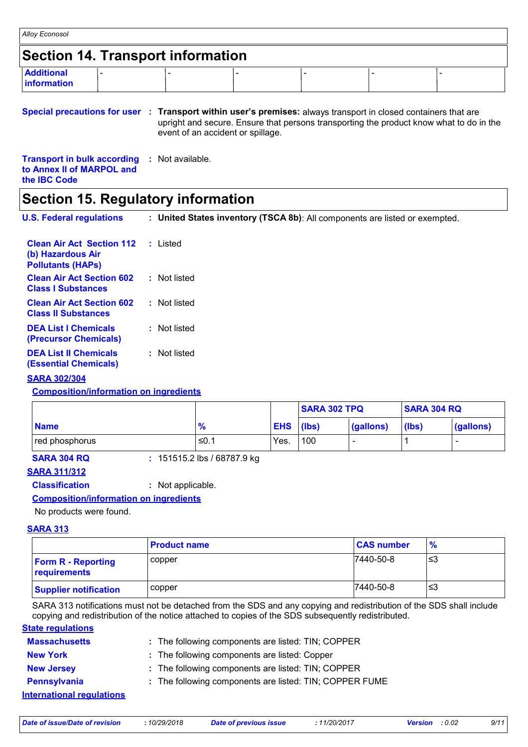| Alloy Econosol                           |  |  |  |
|------------------------------------------|--|--|--|
| <b>Section 14. Transport information</b> |  |  |  |
| <b>Additional</b><br><b>Information</b>  |  |  |  |

#### **Special precautions for user Transport within user's premises:** always transport in closed containers that are **:** upright and secure. Ensure that persons transporting the product know what to do in the event of an accident or spillage.

| <b>Transport in bulk according : Not available.</b> |  |  |
|-----------------------------------------------------|--|--|
| to Annex II of MARPOL and                           |  |  |
| the <b>IBC</b> Code                                 |  |  |

### **Section 15. Regulatory information**

| <b>U.S. Federal regulations</b> |  | <b>United States inventory (TSCA 8b)</b> : All components are listed or exempted. |  |
|---------------------------------|--|-----------------------------------------------------------------------------------|--|
|                                 |  |                                                                                   |  |

| <b>Clean Air Act Section 112 : Listed</b><br>(b) Hazardous Air<br><b>Pollutants (HAPs)</b> |              |
|--------------------------------------------------------------------------------------------|--------------|
| <b>Clean Air Act Section 602</b><br><b>Class I Substances</b>                              | : Not listed |
| <b>Clean Air Act Section 602</b><br><b>Class II Substances</b>                             | : Not listed |
| <b>DEA List I Chemicals</b><br>(Precursor Chemicals)                                       | : Not listed |
| <b>DEA List II Chemicals</b><br><b>(Essential Chemicals)</b>                               | : Not listed |

#### **SARA 302/304**

#### **Composition/information on ingredients**

|                |               |               | <b>SARA 302 TPQ</b> |                          | <b>SARA 304 RQ</b> |           |
|----------------|---------------|---------------|---------------------|--------------------------|--------------------|-----------|
| <b>Name</b>    | $\frac{9}{6}$ | $ EHS $ (lbs) |                     | (gallons)                | (lbs)              | (gallons) |
| red phosphorus | ' ≤0. .       | Yes.          | 100                 | $\overline{\phantom{0}}$ |                    | -         |

**SARA 304 RQ :** 151515.2 lbs / 68787.9 kg

#### **SARA 311/312**

**Classification :** Not applicable.

#### **Composition/information on ingredients**

No products were found.

#### **SARA 313**

|                                           | <b>Product name</b> | <b>CAS number</b> | $\frac{9}{6}$ |
|-------------------------------------------|---------------------|-------------------|---------------|
| <b>Form R - Reporting</b><br>requirements | copper              | 7440-50-8         | '≤3           |
| <b>Supplier notification</b>              | copper              | 7440-50-8         | '≤3           |

SARA 313 notifications must not be detached from the SDS and any copying and redistribution of the SDS shall include copying and redistribution of the notice attached to copies of the SDS subsequently redistributed.

### **State regulations**

| <b>Massachusetts</b>             | : The following components are listed: TIN; COPPER      |
|----------------------------------|---------------------------------------------------------|
| <b>New York</b>                  | : The following components are listed: Copper           |
| <b>New Jersey</b>                | : The following components are listed: TIN; COPPER      |
| Pennsylvania                     | : The following components are listed: TIN; COPPER FUME |
| <b>International requlations</b> |                                                         |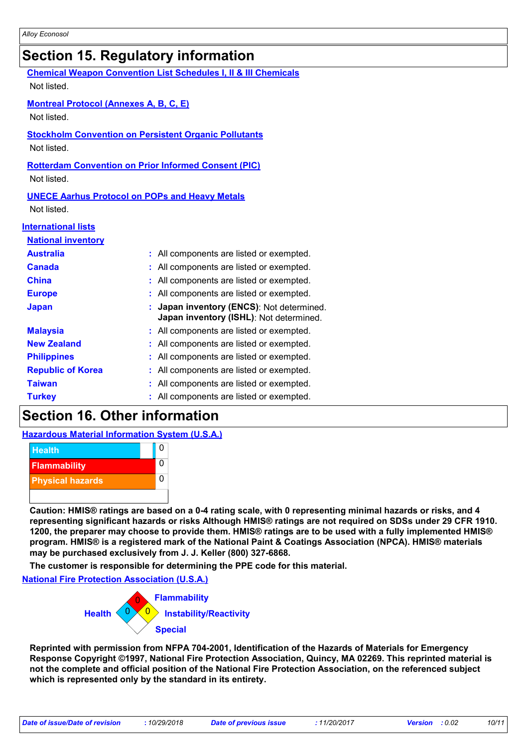### **Section 15. Regulatory information**

| <b>Chemical Weapon Convention List Schedules I, II &amp; III Chemicals</b><br>Not listed. |                                                                                    |  |  |  |  |  |  |
|-------------------------------------------------------------------------------------------|------------------------------------------------------------------------------------|--|--|--|--|--|--|
| <b>Montreal Protocol (Annexes A, B, C, E)</b><br>Not listed.                              |                                                                                    |  |  |  |  |  |  |
| <b>Stockholm Convention on Persistent Organic Pollutants</b><br>Not listed.               |                                                                                    |  |  |  |  |  |  |
| Not listed.                                                                               | <b>Rotterdam Convention on Prior Informed Consent (PIC)</b>                        |  |  |  |  |  |  |
| <b>UNECE Aarhus Protocol on POPs and Heavy Metals</b><br>Not listed.                      |                                                                                    |  |  |  |  |  |  |
| <b>International lists</b>                                                                |                                                                                    |  |  |  |  |  |  |
| <b>National inventory</b>                                                                 |                                                                                    |  |  |  |  |  |  |
| <b>Australia</b>                                                                          | : All components are listed or exempted.                                           |  |  |  |  |  |  |
| <b>Canada</b>                                                                             | All components are listed or exempted.                                             |  |  |  |  |  |  |
| <b>China</b>                                                                              | All components are listed or exempted.                                             |  |  |  |  |  |  |
| <b>Europe</b>                                                                             | All components are listed or exempted.                                             |  |  |  |  |  |  |
| <b>Japan</b>                                                                              | Japan inventory (ENCS): Not determined.<br>Japan inventory (ISHL): Not determined. |  |  |  |  |  |  |
| <b>Malaysia</b>                                                                           | All components are listed or exempted.                                             |  |  |  |  |  |  |
| <b>New Zealand</b>                                                                        | : All components are listed or exempted.                                           |  |  |  |  |  |  |
| <b>Philippines</b>                                                                        | : All components are listed or exempted.                                           |  |  |  |  |  |  |
| <b>Republic of Korea</b>                                                                  | All components are listed or exempted.                                             |  |  |  |  |  |  |
| <b>Taiwan</b>                                                                             | : All components are listed or exempted.                                           |  |  |  |  |  |  |
| <b>Turkey</b>                                                                             | : All components are listed or exempted.                                           |  |  |  |  |  |  |

### **Section 16. Other information**

#### **Hazardous Material Information System (U.S.A.)**



**Caution: HMIS® ratings are based on a 0-4 rating scale, with 0 representing minimal hazards or risks, and 4 representing significant hazards or risks Although HMIS® ratings are not required on SDSs under 29 CFR 1910. 1200, the preparer may choose to provide them. HMIS® ratings are to be used with a fully implemented HMIS® program. HMIS® is a registered mark of the National Paint & Coatings Association (NPCA). HMIS® materials may be purchased exclusively from J. J. Keller (800) 327-6868.**

**The customer is responsible for determining the PPE code for this material.**

**National Fire Protection Association (U.S.A.)**



**Reprinted with permission from NFPA 704-2001, Identification of the Hazards of Materials for Emergency Response Copyright ©1997, National Fire Protection Association, Quincy, MA 02269. This reprinted material is not the complete and official position of the National Fire Protection Association, on the referenced subject which is represented only by the standard in its entirety.**